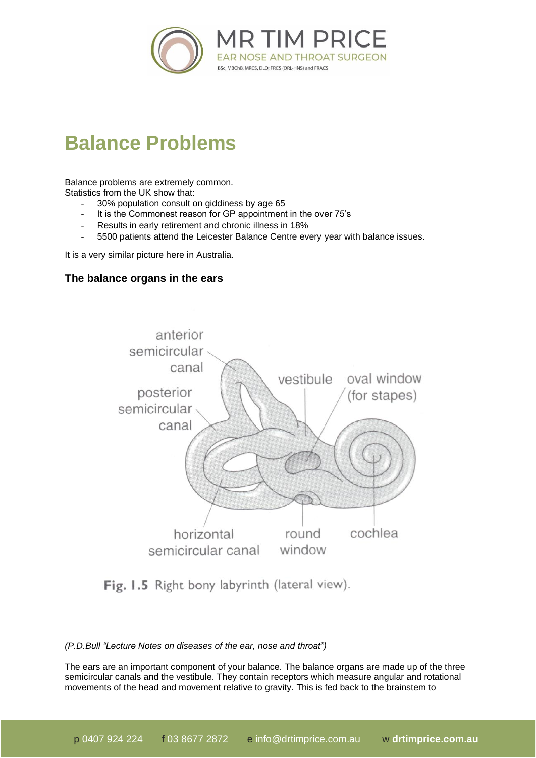

## **Balance Problems**

Balance problems are extremely common.

Statistics from the UK show that:

- 30% population consult on giddiness by age 65
- It is the Commonest reason for GP appointment in the over 75's
- Results in early retirement and chronic illness in 18%
- 5500 patients attend the Leicester Balance Centre every year with balance issues.

It is a very similar picture here in Australia.

## **The balance organs in the ears**



Fig. 1.5 Right bony labyrinth (lateral view).

## *(P.D.Bull "Lecture Notes on diseases of the ear, nose and throat")*

The ears are an important component of your balance. The balance organs are made up of the three semicircular canals and the vestibule. They contain receptors which measure angular and rotational movements of the head and movement relative to gravity. This is fed back to the brainstem to